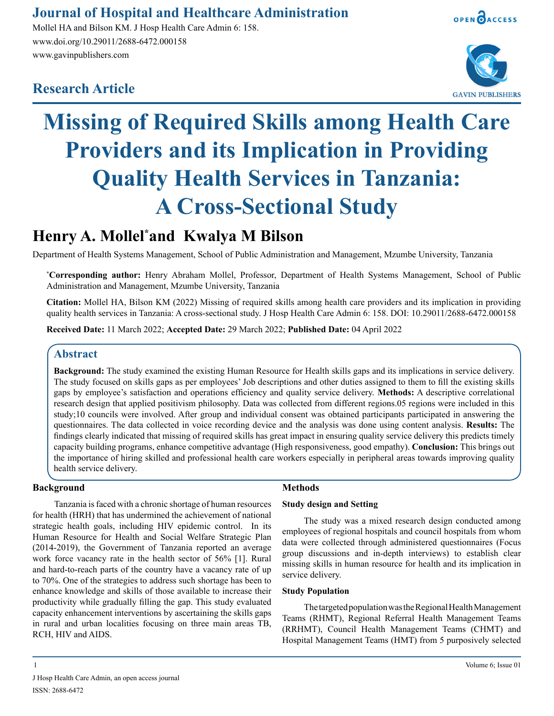# **Journal of Hospital and Healthcare Administration**

Mollel HA and Bilson KM. J Hosp Health Care Admin 6: 158. www.doi.org/10.29011/2688-6472.000158 www.gavinpublishers.com







# **Missing of Required Skills among Health Care Providers and its Implication in Providing Quality Health Services in Tanzania: A Cross-Sectional Study**

# **Henry A. Mollel\* and Kwalya M Bilson**

Department of Health Systems Management, School of Public Administration and Management, Mzumbe University, Tanzania

**\* Corresponding author:** Henry Abraham Mollel, Professor, Department of Health Systems Management, School of Public Administration and Management, Mzumbe University, Tanzania

**Citation:** Mollel HA, Bilson KM (2022) Missing of required skills among health care providers and its implication in providing quality health services in Tanzania: A cross-sectional study. J Hosp Health Care Admin 6: 158. DOI: 10.29011/2688-6472.000158

**Received Date:** 11 March 2022; **Accepted Date:** 29 March 2022; **Published Date:** 04 April 2022

## **Abstract**

**Background:** The study examined the existing Human Resource for Health skills gaps and its implications in service delivery. The study focused on skills gaps as per employees' Job descriptions and other duties assigned to them to fill the existing skills gaps by employee's satisfaction and operations efficiency and quality service delivery. **Methods:** A descriptive correlational research design that applied positivism philosophy. Data was collected from different regions.05 regions were included in this study;10 councils were involved. After group and individual consent was obtained participants participated in answering the questionnaires. The data collected in voice recording device and the analysis was done using content analysis. **Results:** The findings clearly indicated that missing of required skills has great impact in ensuring quality service delivery this predicts timely capacity building programs, enhance competitive advantage (High responsiveness, good empathy). **Conclusion:** This brings out the importance of hiring skilled and professional health care workers especially in peripheral areas towards improving quality health service delivery.

#### **Background**

Tanzania is faced with a chronic shortage of human resources for health (HRH) that has undermined the achievement of national strategic health goals, including HIV epidemic control. In its Human Resource for Health and Social Welfare Strategic Plan (2014-2019), the Government of Tanzania reported an average work force vacancy rate in the health sector of 56% [1]. Rural and hard-to-reach parts of the country have a vacancy rate of up to 70%. One of the strategies to address such shortage has been to enhance knowledge and skills of those available to increase their productivity while gradually filling the gap. This study evaluated capacity enhancement interventions by ascertaining the skills gaps in rural and urban localities focusing on three main areas TB, RCH, HIV and AIDS.

#### **Methods**

#### **Study design and Setting**

The study was a mixed research design conducted among employees of regional hospitals and council hospitals from whom data were collected through administered questionnaires (Focus group discussions and in-depth interviews) to establish clear missing skills in human resource for health and its implication in service delivery.

#### **Study Population**

The targeted population was the Regional Health Management Teams (RHMT), Regional Referral Health Management Teams (RRHMT), Council Health Management Teams (CHMT) and Hospital Management Teams (HMT) from 5 purposively selected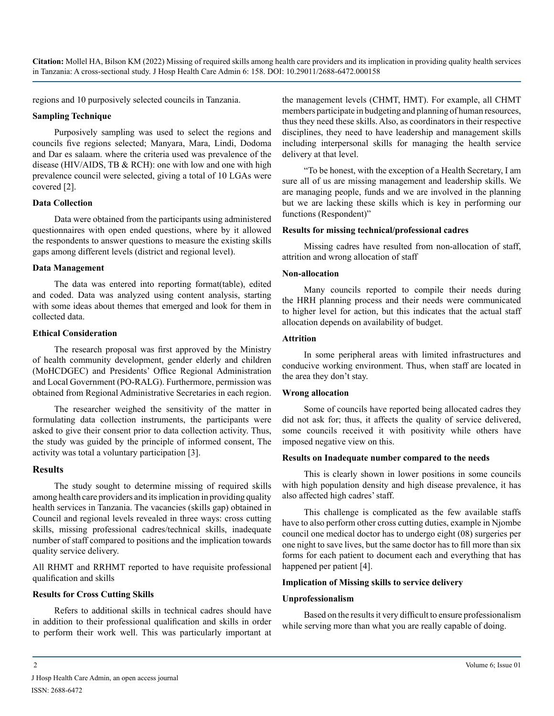**Citation:** Mollel HA, Bilson KM (2022) Missing of required skills among health care providers and its implication in providing quality health services in Tanzania: A cross-sectional study. J Hosp Health Care Admin 6: 158. DOI: 10.29011/2688-6472.000158

regions and 10 purposively selected councils in Tanzania.

#### **Sampling Technique**

Purposively sampling was used to select the regions and councils five regions selected; Manyara, Mara, Lindi, Dodoma and Dar es salaam. where the criteria used was prevalence of the disease (HIV/AIDS, TB & RCH): one with low and one with high prevalence council were selected, giving a total of 10 LGAs were covered [2].

#### **Data Collection**

Data were obtained from the participants using administered questionnaires with open ended questions, where by it allowed the respondents to answer questions to measure the existing skills gaps among different levels (district and regional level).

#### **Data Management**

The data was entered into reporting format(table), edited and coded. Data was analyzed using content analysis, starting with some ideas about themes that emerged and look for them in collected data.

#### **Ethical Consideration**

The research proposal was first approved by the Ministry of health community development, gender elderly and children (MoHCDGEC) and Presidents' Office Regional Administration and Local Government (PO-RALG). Furthermore, permission was obtained from Regional Administrative Secretaries in each region.

The researcher weighed the sensitivity of the matter in formulating data collection instruments, the participants were asked to give their consent prior to data collection activity. Thus, the study was guided by the principle of informed consent, The activity was total a voluntary participation [3].

#### **Results**

The study sought to determine missing of required skills among health care providers and its implication in providing quality health services in Tanzania. The vacancies (skills gap) obtained in Council and regional levels revealed in three ways: cross cutting skills, missing professional cadres/technical skills, inadequate number of staff compared to positions and the implication towards quality service delivery.

All RHMT and RRHMT reported to have requisite professional qualification and skills

#### **Results for Cross Cutting Skills**

Refers to additional skills in technical cadres should have in addition to their professional qualification and skills in order to perform their work well. This was particularly important at

the management levels (CHMT, HMT). For example, all CHMT members participate in budgeting and planning of human resources, thus they need these skills. Also, as coordinators in their respective disciplines, they need to have leadership and management skills including interpersonal skills for managing the health service delivery at that level.

"To be honest, with the exception of a Health Secretary, I am sure all of us are missing management and leadership skills. We are managing people, funds and we are involved in the planning but we are lacking these skills which is key in performing our functions (Respondent)"

#### **Results for missing technical/professional cadres**

Missing cadres have resulted from non-allocation of staff, attrition and wrong allocation of staff

#### **Non-allocation**

Many councils reported to compile their needs during the HRH planning process and their needs were communicated to higher level for action, but this indicates that the actual staff allocation depends on availability of budget.

#### **Attrition**

In some peripheral areas with limited infrastructures and conducive working environment. Thus, when staff are located in the area they don't stay.

#### **Wrong allocation**

Some of councils have reported being allocated cadres they did not ask for; thus, it affects the quality of service delivered, some councils received it with positivity while others have imposed negative view on this.

#### **Results on Inadequate number compared to the needs**

This is clearly shown in lower positions in some councils with high population density and high disease prevalence, it has also affected high cadres' staff.

This challenge is complicated as the few available staffs have to also perform other cross cutting duties, example in Njombe council one medical doctor has to undergo eight (08) surgeries per one night to save lives, but the same doctor has to fill more than six forms for each patient to document each and everything that has happened per patient [4].

#### **Implication of Missing skills to service delivery**

#### **Unprofessionalism**

Based on the results it very difficult to ensure professionalism while serving more than what you are really capable of doing.